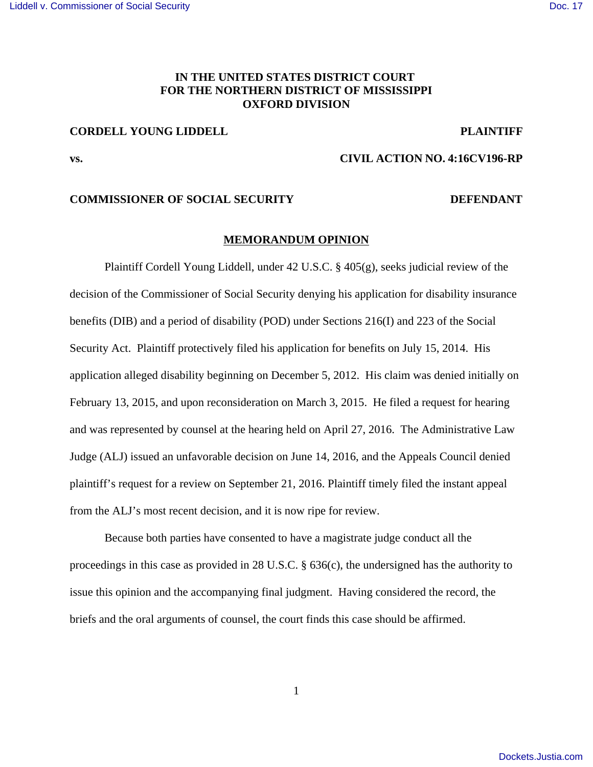# **IN THE UNITED STATES DISTRICT COURT FOR THE NORTHERN DISTRICT OF MISSISSIPPI OXFORD DIVISION**

# **CORDELL YOUNG LIDDELL PLAINTIFF**

## **vs. CIVIL ACTION NO. 4:16CV196-RP**

### **COMMISSIONER OF SOCIAL SECURITY DEFENDANT**

#### **MEMORANDUM OPINION**

Plaintiff Cordell Young Liddell, under 42 U.S.C. § 405(g), seeks judicial review of the decision of the Commissioner of Social Security denying his application for disability insurance benefits (DIB) and a period of disability (POD) under Sections 216(I) and 223 of the Social Security Act. Plaintiff protectively filed his application for benefits on July 15, 2014. His application alleged disability beginning on December 5, 2012. His claim was denied initially on February 13, 2015, and upon reconsideration on March 3, 2015. He filed a request for hearing and was represented by counsel at the hearing held on April 27, 2016. The Administrative Law Judge (ALJ) issued an unfavorable decision on June 14, 2016, and the Appeals Council denied plaintiff's request for a review on September 21, 2016. Plaintiff timely filed the instant appeal from the ALJ's most recent decision, and it is now ripe for review.

Because both parties have consented to have a magistrate judge conduct all the proceedings in this case as provided in 28 U.S.C. § 636(c), the undersigned has the authority to issue this opinion and the accompanying final judgment. Having considered the record, the briefs and the oral arguments of counsel, the court finds this case should be affirmed.

1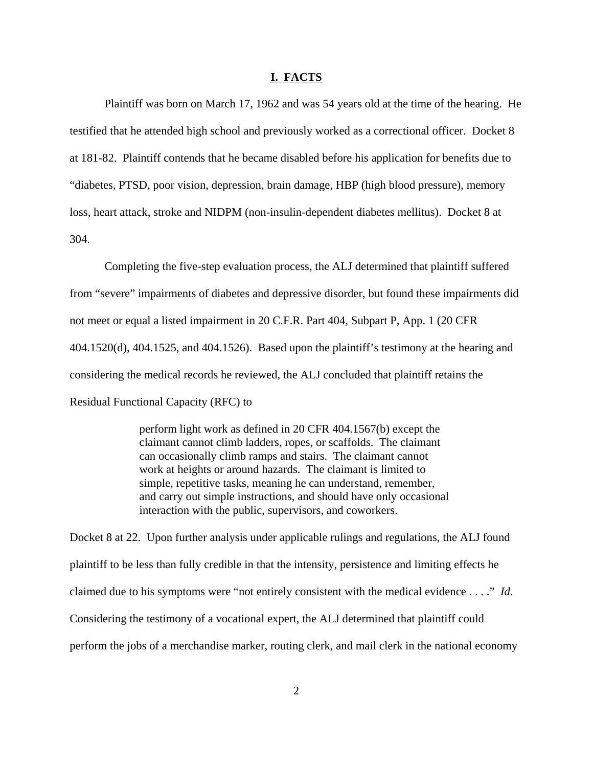#### **I. FACTS**

Plaintiff was born on March 17, 1962 and was 54 years old at the time of the hearing. He testified that he attended high school and previously worked as a correctional officer. Docket 8 at 181-82. Plaintiff contends that he became disabled before his application for benefits due to "diabetes, PTSD, poor vision, depression, brain damage, HBP (high blood pressure), memory loss, heart attack, stroke and NIDPM (non-insulin-dependent diabetes mellitus). Docket 8 at 304.

Completing the five-step evaluation process, the ALJ determined that plaintiff suffered from "severe" impairments of diabetes and depressive disorder, but found these impairments did not meet or equal a listed impairment in 20 C.F.R. Part 404, Subpart P, App. 1 (20 CFR 404.1520(d), 404.1525, and 404.1526). Based upon the plaintiff's testimony at the hearing and considering the medical records he reviewed, the ALJ concluded that plaintiff retains the Residual Functional Capacity (RFC) to

> perform light work as defined in 20 CFR 404.1567(b) except the claimant cannot climb ladders, ropes, or scaffolds. The claimant can occasionally climb ramps and stairs. The claimant cannot work at heights or around hazards. The claimant is limited to simple, repetitive tasks, meaning he can understand, remember, and carry out simple instructions, and should have only occasional interaction with the public, supervisors, and coworkers.

Docket 8 at 22. Upon further analysis under applicable rulings and regulations, the ALJ found plaintiff to be less than fully credible in that the intensity, persistence and limiting effects he claimed due to his symptoms were "not entirely consistent with the medical evidence . . . ." *Id.* Considering the testimony of a vocational expert, the ALJ determined that plaintiff could perform the jobs of a merchandise marker, routing clerk, and mail clerk in the national economy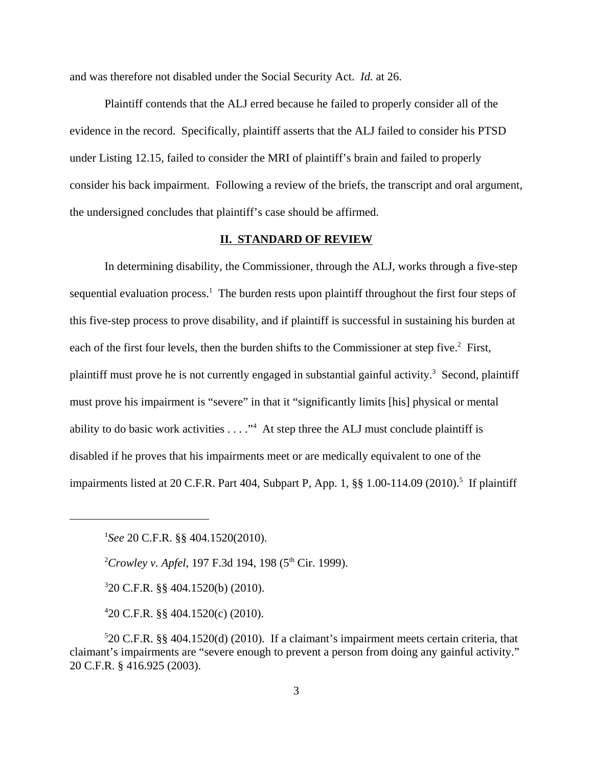and was therefore not disabled under the Social Security Act. *Id.* at 26.

Plaintiff contends that the ALJ erred because he failed to properly consider all of the evidence in the record. Specifically, plaintiff asserts that the ALJ failed to consider his PTSD under Listing 12.15, failed to consider the MRI of plaintiff's brain and failed to properly consider his back impairment. Following a review of the briefs, the transcript and oral argument, the undersigned concludes that plaintiff's case should be affirmed.

## **II. STANDARD OF REVIEW**

In determining disability, the Commissioner, through the ALJ, works through a five-step sequential evaluation process.<sup>1</sup> The burden rests upon plaintiff throughout the first four steps of this five-step process to prove disability, and if plaintiff is successful in sustaining his burden at each of the first four levels, then the burden shifts to the Commissioner at step five.<sup>2</sup> First, plaintiff must prove he is not currently engaged in substantial gainful activity.<sup>3</sup> Second, plaintiff must prove his impairment is "severe" in that it "significantly limits [his] physical or mental ability to do basic work activities  $\dots$ ." At step three the ALJ must conclude plaintiff is disabled if he proves that his impairments meet or are medically equivalent to one of the impairments listed at 20 C.F.R. Part 404, Subpart P, App. 1, §§ 1.00-114.09 (2010).<sup>5</sup> If plaintiff

<sup>2</sup>Crowley v. Apfel, 197 F.3d 194, 198 (5<sup>th</sup> Cir. 1999).

3 20 C.F.R. §§ 404.1520(b) (2010).

4 20 C.F.R. §§ 404.1520(c) (2010).

<sup>1</sup> *See* 20 C.F.R. §§ 404.1520(2010).

<sup>5</sup> 20 C.F.R. §§ 404.1520(d) (2010). If a claimant's impairment meets certain criteria, that claimant's impairments are "severe enough to prevent a person from doing any gainful activity." 20 C.F.R. § 416.925 (2003).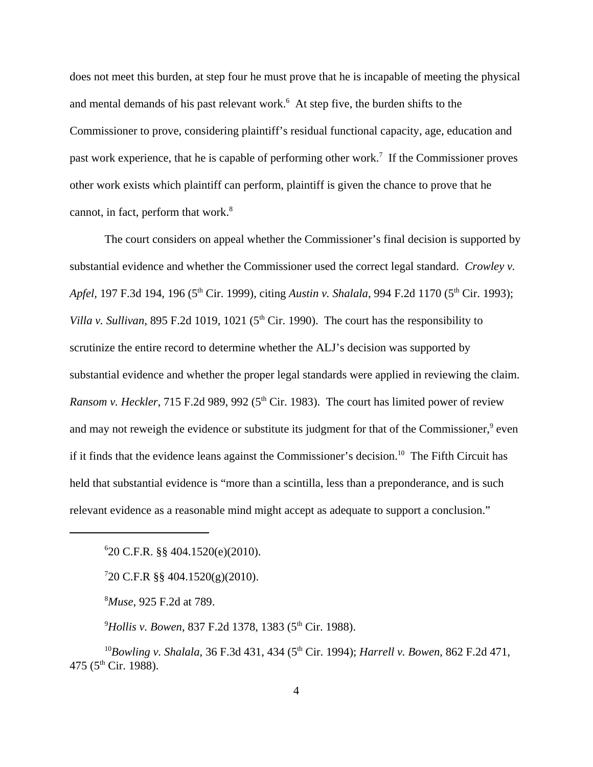does not meet this burden, at step four he must prove that he is incapable of meeting the physical and mental demands of his past relevant work. $6$  At step five, the burden shifts to the Commissioner to prove, considering plaintiff's residual functional capacity, age, education and past work experience, that he is capable of performing other work.<sup>7</sup> If the Commissioner proves other work exists which plaintiff can perform, plaintiff is given the chance to prove that he cannot, in fact, perform that work. $8$ 

The court considers on appeal whether the Commissioner's final decision is supported by substantial evidence and whether the Commissioner used the correct legal standard. *Crowley v. Apfel,* 197 F.3d 194, 196 (5<sup>th</sup> Cir. 1999), citing *Austin v. Shalala*, 994 F.2d 1170 (5<sup>th</sup> Cir. 1993); *Villa v. Sullivan,* 895 F.2d 1019, 1021 ( $5<sup>th</sup>$  Cir. 1990). The court has the responsibility to scrutinize the entire record to determine whether the ALJ's decision was supported by substantial evidence and whether the proper legal standards were applied in reviewing the claim. *Ransom v. Heckler*, 715 F.2d 989, 992 ( $5<sup>th</sup>$  Cir. 1983). The court has limited power of review and may not reweigh the evidence or substitute its judgment for that of the Commissioner,<sup>9</sup> even if it finds that the evidence leans against the Commissioner's decision.<sup>10</sup> The Fifth Circuit has held that substantial evidence is "more than a scintilla, less than a preponderance, and is such relevant evidence as a reasonable mind might accept as adequate to support a conclusion."

6 20 C.F.R. §§ 404.1520(e)(2010).

7 20 C.F.R §§ 404.1520(g)(2010).

<sup>8</sup>*Muse*, 925 F.2d at 789.

<sup>9</sup>Hollis v. Bowen, 837 F.2d 1378, 1383 (5<sup>th</sup> Cir. 1988).

<sup>10</sup>Bowling v. Shalala, 36 F.3d 431, 434 (5<sup>th</sup> Cir. 1994); *Harrell v. Bowen*, 862 F.2d 471, 475 ( $5^{\text{th}}$  Cir. 1988).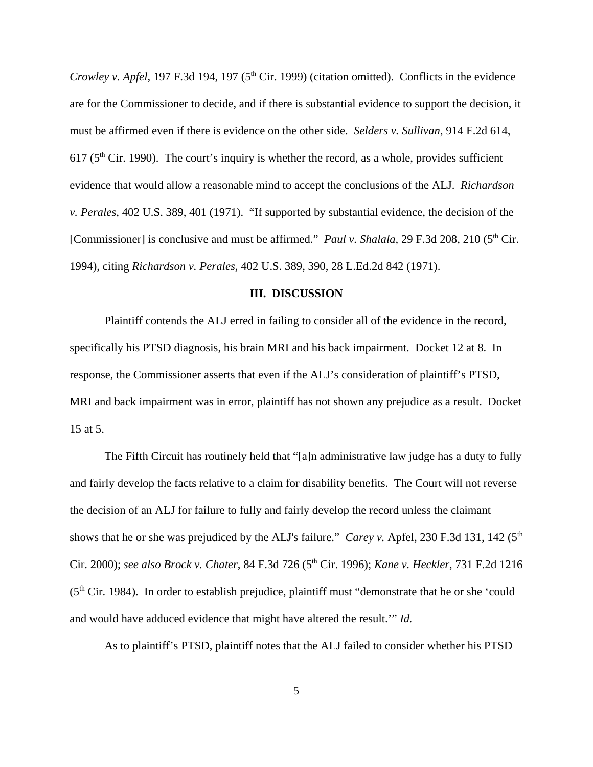*Crowley v. Apfel*, 197 F.3d 194, 197 (5<sup>th</sup> Cir. 1999) (citation omitted). Conflicts in the evidence are for the Commissioner to decide, and if there is substantial evidence to support the decision, it must be affirmed even if there is evidence on the other side. *Selders v. Sullivan*, 914 F.2d 614, 617 ( $5<sup>th</sup>$  Cir. 1990). The court's inquiry is whether the record, as a whole, provides sufficient evidence that would allow a reasonable mind to accept the conclusions of the ALJ. *Richardson v. Perales*, 402 U.S. 389, 401 (1971). "If supported by substantial evidence, the decision of the [Commissioner] is conclusive and must be affirmed." *Paul v. Shalala,* 29 F.3d 208, 210 (5<sup>th</sup> Cir. 1994), citing *Richardson v. Perales,* 402 U.S. 389, 390, 28 L.Ed.2d 842 (1971).

#### **III. DISCUSSION**

Plaintiff contends the ALJ erred in failing to consider all of the evidence in the record, specifically his PTSD diagnosis, his brain MRI and his back impairment. Docket 12 at 8. In response, the Commissioner asserts that even if the ALJ's consideration of plaintiff's PTSD, MRI and back impairment was in error, plaintiff has not shown any prejudice as a result. Docket 15 at 5.

The Fifth Circuit has routinely held that "[a]n administrative law judge has a duty to fully and fairly develop the facts relative to a claim for disability benefits. The Court will not reverse the decision of an ALJ for failure to fully and fairly develop the record unless the claimant shows that he or she was prejudiced by the ALJ's failure." *Carey v.* Apfel, 230 F.3d 131, 142 (5<sup>th</sup>) Cir. 2000); *see also Brock v. Chater*, 84 F.3d 726 (5th Cir. 1996); *Kane v. Heckler*, 731 F.2d 1216 (5th Cir. 1984). In order to establish prejudice, plaintiff must "demonstrate that he or she 'could and would have adduced evidence that might have altered the result.'" *Id.* 

As to plaintiff's PTSD, plaintiff notes that the ALJ failed to consider whether his PTSD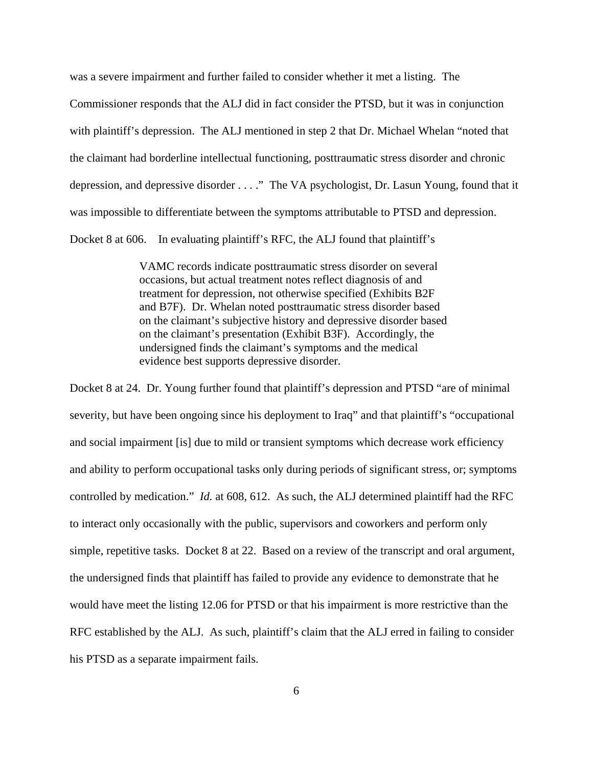was a severe impairment and further failed to consider whether it met a listing. The Commissioner responds that the ALJ did in fact consider the PTSD, but it was in conjunction with plaintiff's depression. The ALJ mentioned in step 2 that Dr. Michael Whelan "noted that the claimant had borderline intellectual functioning, posttraumatic stress disorder and chronic depression, and depressive disorder . . . ." The VA psychologist, Dr. Lasun Young, found that it was impossible to differentiate between the symptoms attributable to PTSD and depression. Docket 8 at 606. In evaluating plaintiff's RFC, the ALJ found that plaintiff's

> VAMC records indicate posttraumatic stress disorder on several occasions, but actual treatment notes reflect diagnosis of and treatment for depression, not otherwise specified (Exhibits B2F and B7F). Dr. Whelan noted posttraumatic stress disorder based on the claimant's subjective history and depressive disorder based on the claimant's presentation (Exhibit B3F). Accordingly, the undersigned finds the claimant's symptoms and the medical evidence best supports depressive disorder.

Docket 8 at 24. Dr. Young further found that plaintiff's depression and PTSD "are of minimal severity, but have been ongoing since his deployment to Iraq" and that plaintiff's "occupational and social impairment [is] due to mild or transient symptoms which decrease work efficiency and ability to perform occupational tasks only during periods of significant stress, or; symptoms controlled by medication." *Id.* at 608, 612. As such, the ALJ determined plaintiff had the RFC to interact only occasionally with the public, supervisors and coworkers and perform only simple, repetitive tasks. Docket 8 at 22. Based on a review of the transcript and oral argument, the undersigned finds that plaintiff has failed to provide any evidence to demonstrate that he would have meet the listing 12.06 for PTSD or that his impairment is more restrictive than the RFC established by the ALJ. As such, plaintiff's claim that the ALJ erred in failing to consider his PTSD as a separate impairment fails.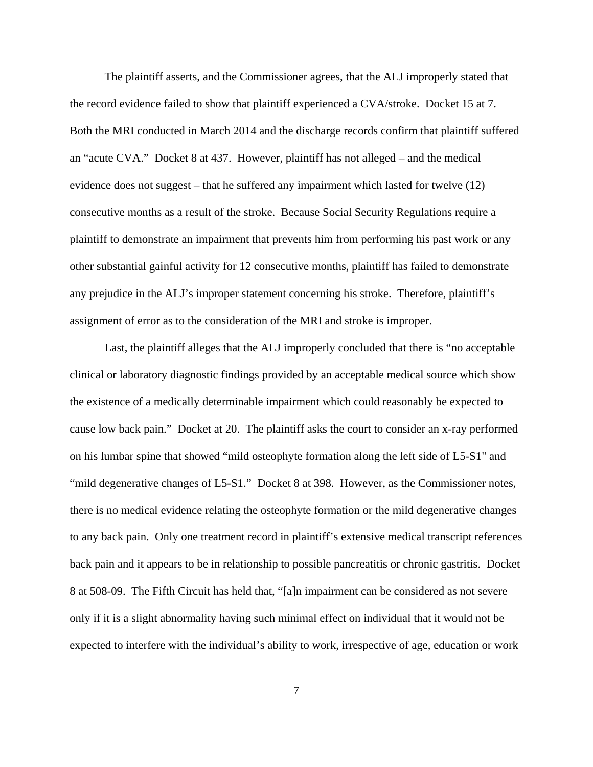The plaintiff asserts, and the Commissioner agrees, that the ALJ improperly stated that the record evidence failed to show that plaintiff experienced a CVA/stroke. Docket 15 at 7. Both the MRI conducted in March 2014 and the discharge records confirm that plaintiff suffered an "acute CVA." Docket 8 at 437. However, plaintiff has not alleged – and the medical evidence does not suggest – that he suffered any impairment which lasted for twelve (12) consecutive months as a result of the stroke. Because Social Security Regulations require a plaintiff to demonstrate an impairment that prevents him from performing his past work or any other substantial gainful activity for 12 consecutive months, plaintiff has failed to demonstrate any prejudice in the ALJ's improper statement concerning his stroke. Therefore, plaintiff's assignment of error as to the consideration of the MRI and stroke is improper.

Last, the plaintiff alleges that the ALJ improperly concluded that there is "no acceptable clinical or laboratory diagnostic findings provided by an acceptable medical source which show the existence of a medically determinable impairment which could reasonably be expected to cause low back pain." Docket at 20. The plaintiff asks the court to consider an x-ray performed on his lumbar spine that showed "mild osteophyte formation along the left side of L5-S1" and "mild degenerative changes of L5-S1." Docket 8 at 398. However, as the Commissioner notes, there is no medical evidence relating the osteophyte formation or the mild degenerative changes to any back pain. Only one treatment record in plaintiff's extensive medical transcript references back pain and it appears to be in relationship to possible pancreatitis or chronic gastritis. Docket 8 at 508-09. The Fifth Circuit has held that, "[a]n impairment can be considered as not severe only if it is a slight abnormality having such minimal effect on individual that it would not be expected to interfere with the individual's ability to work, irrespective of age, education or work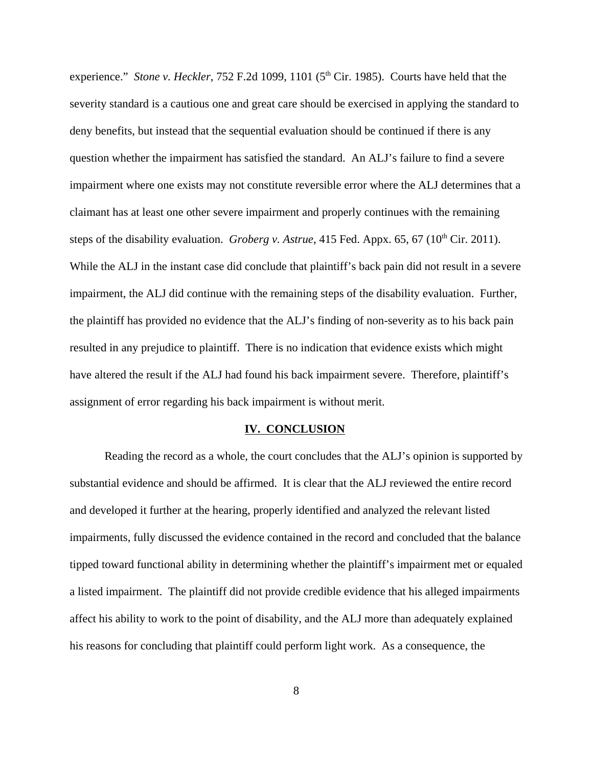experience." *Stone v. Heckler*, 752 F.2d 1099, 1101 (5<sup>th</sup> Cir. 1985). Courts have held that the severity standard is a cautious one and great care should be exercised in applying the standard to deny benefits, but instead that the sequential evaluation should be continued if there is any question whether the impairment has satisfied the standard. An ALJ's failure to find a severe impairment where one exists may not constitute reversible error where the ALJ determines that a claimant has at least one other severe impairment and properly continues with the remaining steps of the disability evaluation. *Groberg v. Astrue*, 415 Fed. Appx. 65, 67 (10<sup>th</sup> Cir. 2011). While the ALJ in the instant case did conclude that plaintiff's back pain did not result in a severe impairment, the ALJ did continue with the remaining steps of the disability evaluation. Further, the plaintiff has provided no evidence that the ALJ's finding of non-severity as to his back pain resulted in any prejudice to plaintiff. There is no indication that evidence exists which might have altered the result if the ALJ had found his back impairment severe. Therefore, plaintiff's assignment of error regarding his back impairment is without merit.

#### **IV. CONCLUSION**

Reading the record as a whole, the court concludes that the ALJ's opinion is supported by substantial evidence and should be affirmed. It is clear that the ALJ reviewed the entire record and developed it further at the hearing, properly identified and analyzed the relevant listed impairments, fully discussed the evidence contained in the record and concluded that the balance tipped toward functional ability in determining whether the plaintiff's impairment met or equaled a listed impairment. The plaintiff did not provide credible evidence that his alleged impairments affect his ability to work to the point of disability, and the ALJ more than adequately explained his reasons for concluding that plaintiff could perform light work. As a consequence, the